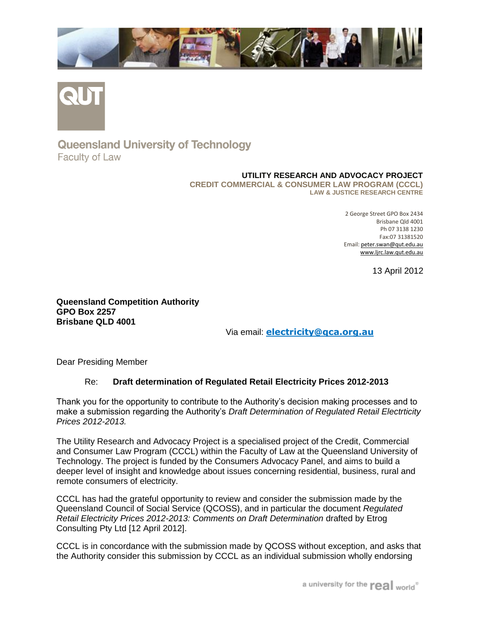



## **Queensland University of Technology Faculty of Law**

## **UTILITY RESEARCH AND ADVOCACY PROJECT**

**CREDIT COMMERCIAL & CONSUMER LAW PROGRAM (CCCL) LAW & JUSTICE RESEARCH CENTRE**

> 2 George Street GPO Box 2434 Brisbane Qld 4001 Ph 07 3138 1230 Fax:07 31381520 Email[: peter.swan@qut.edu.au](mailto:peter.swan@qut.edu.au)  [www.ljrc.law.qut.edu.au](http://www.ljrc.law.qut.edu.au/)

> > 13 April 2012

**Queensland Competition Authority GPO Box 2257 Brisbane QLD 4001**

Via email: **[electricity@qca.org.au](mailto:electricity@qca.org.au)**

Dear Presiding Member

## Re: **Draft determination of Regulated Retail Electricity Prices 2012-2013**

Thank you for the opportunity to contribute to the Authority's decision making processes and to make a submission regarding the Authority's *Draft Determination of Regulated Retail Electrticity Prices 2012-2013.*

The Utility Research and Advocacy Project is a specialised project of the Credit, Commercial and Consumer Law Program (CCCL) within the Faculty of Law at the Queensland University of Technology. The project is funded by the Consumers Advocacy Panel, and aims to build a deeper level of insight and knowledge about issues concerning residential, business, rural and remote consumers of electricity.

CCCL has had the grateful opportunity to review and consider the submission made by the Queensland Council of Social Service (QCOSS), and in particular the document *Regulated Retail Electricity Prices 2012-2013: Comments on Draft Determination* drafted by Etrog Consulting Pty Ltd [12 April 2012].

CCCL is in concordance with the submission made by QCOSS without exception, and asks that the Authority consider this submission by CCCL as an individual submission wholly endorsing